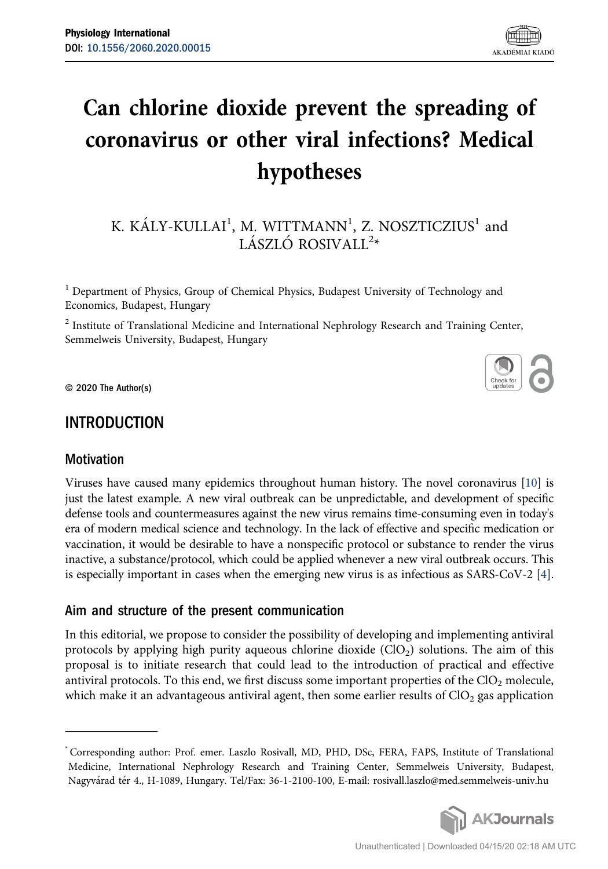# Can chlorine dioxide prevent the spreading of coronavirus or other viral infections? Medical hypotheses

# K. KÁLY-KULLAI $^{\rm l}$ , M. WITTMANN $^{\rm l}$ , Z. NOSZTICZIUS $^{\rm l}$  and LÁSZLÓ ROSIVALL<sup>2</sup>\*

<sup>1</sup> Department of Physics, Group of Chemical Physics, Budapest University of Technology and Economics, Budapest, Hungary

<sup>2</sup> Institute of Translational Medicine and International Nephrology Research and Training Center, Semmelweis University, Budapest, Hungary

© 2020 The Author(s)

# INTRODUCTION

# **Motivation**

Viruses have caused many epidemics throughout human history. The novel coronavirus [\[10\]](#page-9-0) is just the latest example. A new viral outbreak can be unpredictable, and development of specific defense tools and countermeasures against the new virus remains time-consuming even in today's era of modern medical science and technology. In the lack of effective and specific medication or vaccination, it would be desirable to have a nonspecific protocol or substance to render the virus inactive, a substance/protocol, which could be applied whenever a new viral outbreak occurs. This is especially important in cases when the emerging new virus is as infectious as SARS-CoV-2 [\[4](#page-9-1)].

# Aim and structure of the present communication

In this editorial, we propose to consider the possibility of developing and implementing antiviral protocols by applying high purity aqueous chlorine dioxide  $(CIO<sub>2</sub>)$  solutions. The aim of this proposal is to initiate research that could lead to the introduction of practical and effective antiviral protocols. To this end, we first discuss some important properties of the  $ClO<sub>2</sub>$  molecule, which make it an advantageous antiviral agent, then some earlier results of  $ClO<sub>2</sub>$  gas application

<sup>\*</sup> Corresponding author: Prof. emer. Laszlo Rosivall, MD, PHD, DSc, FERA, FAPS, Institute of Translational Medicine, International Nephrology Research and Training Center, Semmelweis University, Budapest, Nagyvarad ter 4., H-1089, Hungary. Tel/Fax: 36-1-2100-100, E-mail: [rosivall.laszlo@med.semmelweis-univ.hu](mailto:rosivall.laszlo@med.semmelweis-univ.hu)

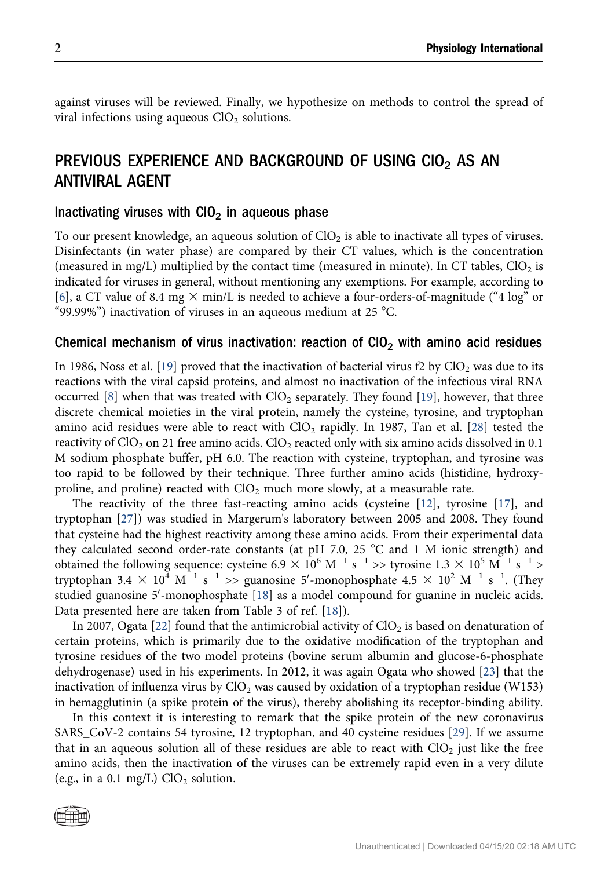against viruses will be reviewed. Finally, we hypothesize on methods to control the spread of viral infections using aqueous  $ClO<sub>2</sub>$  solutions.

# PREVIOUS EXPERIENCE AND BACKGROUND OF USING CIO<sub>2</sub> AS AN ANTIVIRAL AGENT

#### Inactivating viruses with  $\text{ClO}_2$  in aqueous phase

To our present knowledge, an aqueous solution of  $ClO<sub>2</sub>$  is able to inactivate all types of viruses. Disinfectants (in water phase) are compared by their CT values, which is the concentration (measured in mg/L) multiplied by the contact time (measured in minute). In CT tables,  $ClO<sub>2</sub>$  is indicated for viruses in general, without mentioning any exemptions. For example, according to [\[6](#page-9-2)], a CT value of 8.4 mg  $\times$  min/L is needed to achieve a four-orders-of-magnitude ("4 log" or "99.99%") inactivation of viruses in an aqueous medium at 25  $^{\circ}$ C.

#### Chemical mechanism of virus inactivation: reaction of  $ClO<sub>2</sub>$  with amino acid residues

In [19](#page-9-3)86, Noss et al. [19] proved that the inactivation of bacterial virus f2 by  $ClO<sub>2</sub>$  was due to its reactions with the viral capsid proteins, and almost no inactivation of the infectious viral RNA occurred  $[8]$  $[8]$  when that was treated with  $ClO<sub>2</sub>$  separately. They found  $[19]$  $[19]$ , however, that three discrete chemical moieties in the viral protein, namely the cysteine, tyrosine, and tryptophan amino acid residues were able to react with  $ClO<sub>2</sub>$  rapidly. In 1987, Tan et al. [\[28\]](#page-10-0) tested the reactivity of  $ClO<sub>2</sub>$  on 21 free amino acids.  $ClO<sub>2</sub>$  reacted only with six amino acids dissolved in 0.1 M sodium phosphate buffer, pH 6.0. The reaction with cysteine, tryptophan, and tyrosine was too rapid to be followed by their technique. Three further amino acids (histidine, hydroxyproline, and proline) reacted with  $ClO<sub>2</sub>$  much more slowly, at a measurable rate.

The reactivity of the three fast-reacting amino acids (cysteine [\[12\]](#page-9-5), tyrosine [\[17\]](#page-9-6), and tryptophan [[27](#page-10-1)]) was studied in Margerum's laboratory between 2005 and 2008. They found that cysteine had the highest reactivity among these amino acids. From their experimental data they calculated second order-rate constants (at pH 7.0, 25  $^{\circ}$ C and 1 M ionic strength) and obtained the following sequence: cysteine 6.9  $\times$  10<sup>6</sup> M<sup>-1</sup> s<sup>-1</sup> >> tyrosine 1.3  $\times$  10<sup>5</sup> M<sup>-1</sup> s<sup>-1</sup> > tryptophan 3.4  $\times$  10<sup>4</sup> M<sup>-1</sup> s<sup>-1</sup> >> guanosine 5'-monophosphate 4.5  $\times$  10<sup>2</sup> M<sup>-1</sup> s<sup>-1</sup>. (They studied guanosine 5'-monophosphate [[18](#page-9-7)] as a model compound for guanine in nucleic acids. Data presented here are taken from Table 3 of ref. [\[18\]](#page-9-7)).

In 2007, Ogata [[22](#page-10-2)] found that the antimicrobial activity of  $ClO<sub>2</sub>$  is based on denaturation of certain proteins, which is primarily due to the oxidative modification of the tryptophan and tyrosine residues of the two model proteins (bovine serum albumin and glucose-6-phosphate dehydrogenase) used in his experiments. In 2012, it was again Ogata who showed [\[23](#page-10-3)] that the inactivation of influenza virus by  $ClO<sub>2</sub>$  was caused by oxidation of a tryptophan residue (W153) in hemagglutinin (a spike protein of the virus), thereby abolishing its receptor-binding ability.

In this context it is interesting to remark that the spike protein of the new coronavirus SARS\_CoV-2 contains 54 tyrosine, 12 tryptophan, and 40 cysteine residues [[29](#page-10-4)]. If we assume that in an aqueous solution all of these residues are able to react with  $ClO<sub>2</sub>$  just like the free amino acids, then the inactivation of the viruses can be extremely rapid even in a very dilute (e.g., in a 0.1 mg/L)  $ClO<sub>2</sub>$  solution.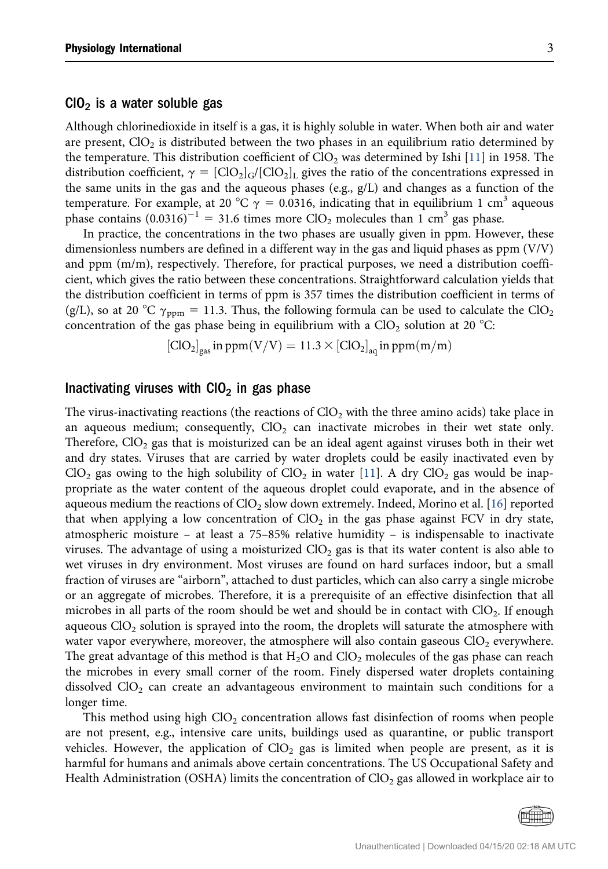#### $ClO<sub>2</sub>$  is a water soluble gas

Although chlorinedioxide in itself is a gas, it is highly soluble in water. When both air and water are present,  $ClO<sub>2</sub>$  is distributed between the two phases in an equilibrium ratio determined by the temperature. This distribution coefficient of  $ClO<sub>2</sub>$  was determined by Ishi [\[11\]](#page-9-8) in 1958. The distribution coefficient,  $\gamma = [ClO_2]_G/[ClO_2]_L$  gives the ratio of the concentrations expressed in the same units in the gas and the aqueous phases (e.g.,  $g/L$ ) and changes as a function of the temperature. For example, at 20 °C  $\gamma = 0.0316$ , indicating that in equilibrium 1 cm<sup>3</sup> aqueous phase contains  $(0.0316)^{-1} = 31.6$  times more ClO<sub>2</sub> molecules than 1 cm<sup>3</sup> gas phase.

In practice, the concentrations in the two phases are usually given in ppm. However, these dimensionless numbers are defined in a different way in the gas and liquid phases as ppm (V/V) and ppm (m/m), respectively. Therefore, for practical purposes, we need a distribution coefficient, which gives the ratio between these concentrations. Straightforward calculation yields that the distribution coefficient in terms of ppm is 357 times the distribution coefficient in terms of (g/L), so at 20 °C  $\gamma_{\text{ppm}} = 11.3$ . Thus, the following formula can be used to calculate the ClO<sub>2</sub> concentration of the gas phase being in equilibrium with a  $ClO<sub>2</sub>$  solution at 20 °C:

$$
[\text{ClO}_2]_{\text{gas}} \text{ in } \text{ppm}(V/V) = 11.3 \times [\text{ClO}_2]_{\text{aq}} \text{ in } \text{ppm}(m/m)
$$

#### Inactivating viruses with  $CIO<sub>2</sub>$  in gas phase

The virus-inactivating reactions (the reactions of  $ClO<sub>2</sub>$  with the three amino acids) take place in an aqueous medium; consequently,  $ClO<sub>2</sub>$  can inactivate microbes in their wet state only. Therefore,  $ClO<sub>2</sub>$  gas that is moisturized can be an ideal agent against viruses both in their wet and dry states. Viruses that are carried by water droplets could be easily inactivated even by  $ClO<sub>2</sub>$  gas owing to the high solubility of  $ClO<sub>2</sub>$  in water [[11](#page-9-8)]. A dry  $ClO<sub>2</sub>$  gas would be inappropriate as the water content of the aqueous droplet could evaporate, and in the absence of aqueous medium the reactions of  $ClO<sub>2</sub>$  slow down extremely. Indeed, Morino et al. [\[16\]](#page-9-9) reported that when applying a low concentration of  $ClO<sub>2</sub>$  in the gas phase against FCV in dry state, atmospheric moisture – at least a 75–85% relative humidity – is indispensable to inactivate viruses. The advantage of using a moisturized  $ClO<sub>2</sub>$  gas is that its water content is also able to wet viruses in dry environment. Most viruses are found on hard surfaces indoor, but a small fraction of viruses are "airborn", attached to dust particles, which can also carry a single microbe or an aggregate of microbes. Therefore, it is a prerequisite of an effective disinfection that all microbes in all parts of the room should be wet and should be in contact with  $ClO<sub>2</sub>$ . If enough aqueous  $ClO<sub>2</sub>$  solution is sprayed into the room, the droplets will saturate the atmosphere with water vapor everywhere, moreover, the atmosphere will also contain gaseous  $ClO<sub>2</sub>$  everywhere. The great advantage of this method is that  $H_2O$  and  $ClO_2$  molecules of the gas phase can reach the microbes in every small corner of the room. Finely dispersed water droplets containing dissolved  $ClO<sub>2</sub>$  can create an advantageous environment to maintain such conditions for a longer time.

This method using high  $ClO<sub>2</sub>$  concentration allows fast disinfection of rooms when people are not present, e.g., intensive care units, buildings used as quarantine, or public transport vehicles. However, the application of  $ClO<sub>2</sub>$  gas is limited when people are present, as it is harmful for humans and animals above certain concentrations. The US Occupational Safety and Health Administration (OSHA) limits the concentration of  $ClO<sub>2</sub>$  gas allowed in workplace air to

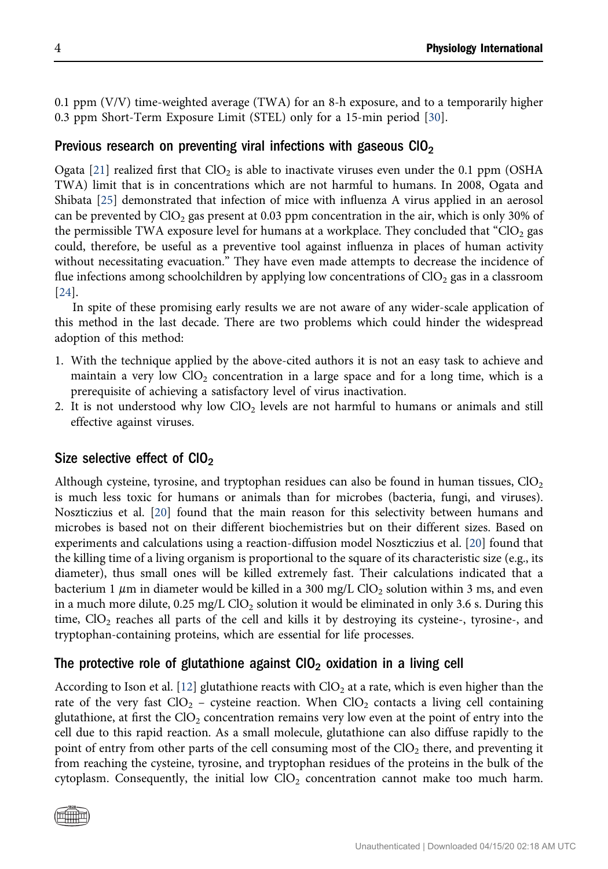0.1 ppm (V/V) time-weighted average (TWA) for an 8-h exposure, and to a temporarily higher 0.3 ppm Short-Term Exposure Limit (STEL) only for a 15-min period [[30](#page-10-5)].

## Previous research on preventing viral infections with gaseous  $ClO<sub>2</sub>$

Ogata [\[21\]](#page-10-6) realized first that  $ClO<sub>2</sub>$  is able to inactivate viruses even under the 0.1 ppm (OSHA TWA) limit that is in concentrations which are not harmful to humans. In 2008, Ogata and Shibata [[25\]](#page-10-7) demonstrated that infection of mice with influenza A virus applied in an aerosol can be prevented by  $ClO<sub>2</sub>$  gas present at 0.03 ppm concentration in the air, which is only 30% of the permissible TWA exposure level for humans at a workplace. They concluded that "ClO<sub>2</sub> gas could, therefore, be useful as a preventive tool against influenza in places of human activity without necessitating evacuation." They have even made attempts to decrease the incidence of flue infections among schoolchildren by applying low concentrations of  $ClO<sub>2</sub>$  gas in a classroom [\[24\]](#page-10-8).

In spite of these promising early results we are not aware of any wider-scale application of this method in the last decade. There are two problems which could hinder the widespread adoption of this method:

- 1. With the technique applied by the above-cited authors it is not an easy task to achieve and maintain a very low  $ClO<sub>2</sub>$  concentration in a large space and for a long time, which is a prerequisite of achieving a satisfactory level of virus inactivation.
- 2. It is not understood why low  $ClO<sub>2</sub>$  levels are not harmful to humans or animals and still effective against viruses.

## Size selective effect of  $ClO<sub>2</sub>$

Although cysteine, tyrosine, and tryptophan residues can also be found in human tissues,  $ClO<sub>2</sub>$ is much less toxic for humans or animals than for microbes (bacteria, fungi, and viruses). Noszticzius et al. [\[20\]](#page-9-10) found that the main reason for this selectivity between humans and microbes is based not on their different biochemistries but on their different sizes. Based on experiments and calculations using a reaction-diffusion model Noszticzius et al. [[20](#page-9-10)] found that the killing time of a living organism is proportional to the square of its characteristic size (e.g., its diameter), thus small ones will be killed extremely fast. Their calculations indicated that a bacterium 1  $\mu$ m in diameter would be killed in a 300 mg/L ClO<sub>2</sub> solution within 3 ms, and even in a much more dilute,  $0.25 \text{ mg/L ClO}_2$  solution it would be eliminated in only 3.6 s. During this time,  $ClO<sub>2</sub>$  reaches all parts of the cell and kills it by destroying its cysteine-, tyrosine-, and tryptophan-containing proteins, which are essential for life processes.

## The protective role of glutathione against  $CIO<sub>2</sub>$  oxidation in a living cell

According to Ison et al. [\[12](#page-9-5)] glutathione reacts with  $ClO<sub>2</sub>$  at a rate, which is even higher than the rate of the very fast  $ClO<sub>2</sub>$  – cysteine reaction. When  $ClO<sub>2</sub>$  contacts a living cell containing glutathione, at first the  $ClO<sub>2</sub>$  concentration remains very low even at the point of entry into the cell due to this rapid reaction. As a small molecule, glutathione can also diffuse rapidly to the point of entry from other parts of the cell consuming most of the  $ClO<sub>2</sub>$  there, and preventing it from reaching the cysteine, tyrosine, and tryptophan residues of the proteins in the bulk of the cytoplasm. Consequently, the initial low  $ClO<sub>2</sub>$  concentration cannot make too much harm.

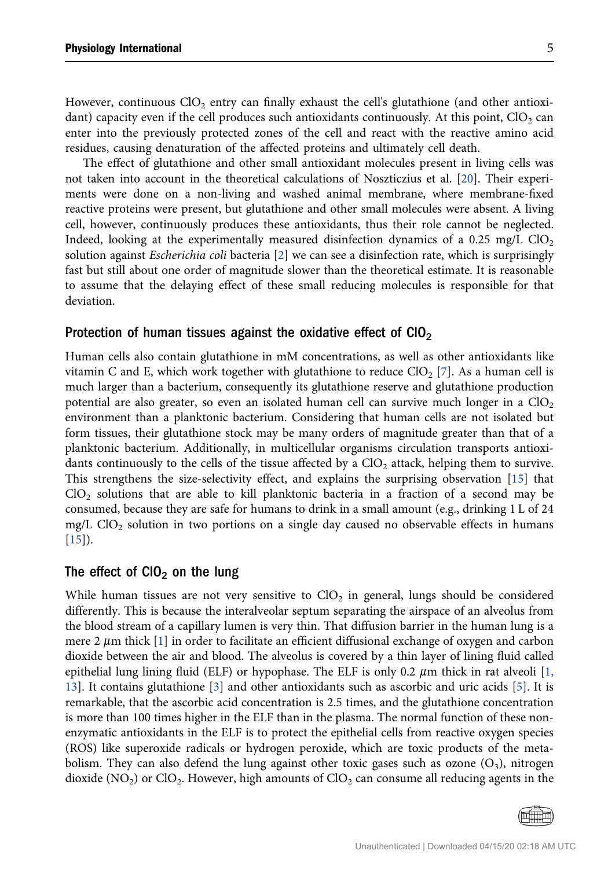However, continuous  $ClO<sub>2</sub>$  entry can finally exhaust the cell's glutathione (and other antioxidant) capacity even if the cell produces such antioxidants continuously. At this point,  $ClO<sub>2</sub>$  can enter into the previously protected zones of the cell and react with the reactive amino acid residues, causing denaturation of the affected proteins and ultimately cell death.

The effect of glutathione and other small antioxidant molecules present in living cells was not taken into account in the theoretical calculations of Noszticzius et al. [\[20\]](#page-9-10). Their experiments were done on a non-living and washed animal membrane, where membrane-fixed reactive proteins were present, but glutathione and other small molecules were absent. A living cell, however, continuously produces these antioxidants, thus their role cannot be neglected. Indeed, looking at the experimentally measured disinfection dynamics of a 0.25 mg/L  $ClO<sub>2</sub>$ solution against *Escherichia coli* bacteria [[2\]](#page-9-11) we can see a disinfection rate, which is surprisingly fast but still about one order of magnitude slower than the theoretical estimate. It is reasonable to assume that the delaying effect of these small reducing molecules is responsible for that deviation.

#### Protection of human tissues against the oxidative effect of  $ClO<sub>2</sub>$

Human cells also contain glutathione in mM concentrations, as well as other antioxidants like vitamin C and E, which work together with glutathione to reduce  $ClO<sub>2</sub> [7]$  $ClO<sub>2</sub> [7]$  $ClO<sub>2</sub> [7]$ . As a human cell is much larger than a bacterium, consequently its glutathione reserve and glutathione production potential are also greater, so even an isolated human cell can survive much longer in a  $ClO<sub>2</sub>$ environment than a planktonic bacterium. Considering that human cells are not isolated but form tissues, their glutathione stock may be many orders of magnitude greater than that of a planktonic bacterium. Additionally, in multicellular organisms circulation transports antioxidants continuously to the cells of the tissue affected by a  $ClO<sub>2</sub>$  attack, helping them to survive. This strengthens the size-selectivity effect, and explains the surprising observation [[15](#page-9-13)] that  $ClO<sub>2</sub>$  solutions that are able to kill planktonic bacteria in a fraction of a second may be consumed, because they are safe for humans to drink in a small amount (e.g., drinking 1 L of 24 mg/L  $ClO<sub>2</sub>$  solution in two portions on a single day caused no observable effects in humans [\[15](#page-9-13)]).

## The effect of  $ClO<sub>2</sub>$  on the lung

While human tissues are not very sensitive to  $ClO<sub>2</sub>$  in general, lungs should be considered differently. This is because the interalveolar septum separating the airspace of an alveolus from the blood stream of a capillary lumen is very thin. That diffusion barrier in the human lung is a mere 2  $\mu$ m thick [[1](#page-9-14)] in order to facilitate an efficient diffusional exchange of oxygen and carbon dioxide between the air and blood. The alveolus is covered by a thin layer of lining fluid called epithelial lung lining fluid (ELF) or hypophase. The ELF is only 0.2  $\mu$ m thick in rat alveoli [[1,](#page-9-14) [13\]](#page-9-14). It contains glutathione [\[3\]](#page-9-15) and other antioxidants such as ascorbic and uric acids [[5](#page-9-16)]. It is remarkable, that the ascorbic acid concentration is 2.5 times, and the glutathione concentration is more than 100 times higher in the ELF than in the plasma. The normal function of these nonenzymatic antioxidants in the ELF is to protect the epithelial cells from reactive oxygen species (ROS) like superoxide radicals or hydrogen peroxide, which are toxic products of the metabolism. They can also defend the lung against other toxic gases such as ozone  $(O_3)$ , nitrogen dioxide ( $NO<sub>2</sub>$ ) or  $ClO<sub>2</sub>$ . However, high amounts of  $ClO<sub>2</sub>$  can consume all reducing agents in the

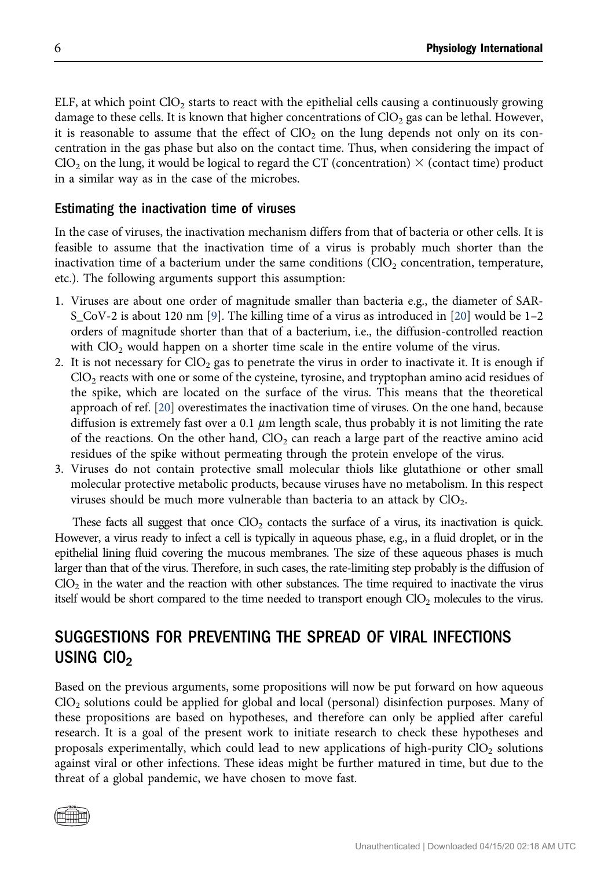ELF, at which point  $ClO<sub>2</sub>$  starts to react with the epithelial cells causing a continuously growing damage to these cells. It is known that higher concentrations of  $ClO<sub>2</sub>$  gas can be lethal. However, it is reasonable to assume that the effect of  $ClO<sub>2</sub>$  on the lung depends not only on its concentration in the gas phase but also on the contact time. Thus, when considering the impact of  $ClO<sub>2</sub>$  on the lung, it would be logical to regard the CT (concentration)  $\times$  (contact time) product in a similar way as in the case of the microbes.

## Estimating the inactivation time of viruses

In the case of viruses, the inactivation mechanism differs from that of bacteria or other cells. It is feasible to assume that the inactivation time of a virus is probably much shorter than the inactivation time of a bacterium under the same conditions  $\langle \text{ClO}_2 \rangle$  concentration, temperature, etc.). The following arguments support this assumption:

- 1. Viruses are about one order of magnitude smaller than bacteria e.g., the diameter of SAR-S\_CoV-2 is about 120 nm [\[9](#page-9-17)]. The killing time of a virus as introduced in [[20\]](#page-9-10) would be 1–2 orders of magnitude shorter than that of a bacterium, i.e., the diffusion-controlled reaction with  $ClO<sub>2</sub>$  would happen on a shorter time scale in the entire volume of the virus.
- 2. It is not necessary for  $ClO<sub>2</sub>$  gas to penetrate the virus in order to inactivate it. It is enough if  $ClO<sub>2</sub>$  reacts with one or some of the cysteine, tyrosine, and tryptophan amino acid residues of the spike, which are located on the surface of the virus. This means that the theoretical approach of ref. [\[20\]](#page-9-10) overestimates the inactivation time of viruses. On the one hand, because diffusion is extremely fast over a 0.1  $\mu$ m length scale, thus probably it is not limiting the rate of the reactions. On the other hand,  $ClO<sub>2</sub>$  can reach a large part of the reactive amino acid residues of the spike without permeating through the protein envelope of the virus.
- 3. Viruses do not contain protective small molecular thiols like glutathione or other small molecular protective metabolic products, because viruses have no metabolism. In this respect viruses should be much more vulnerable than bacteria to an attack by  $ClO<sub>2</sub>$ .

These facts all suggest that once  $ClO<sub>2</sub>$  contacts the surface of a virus, its inactivation is quick. However, a virus ready to infect a cell is typically in aqueous phase, e.g., in a fluid droplet, or in the epithelial lining fluid covering the mucous membranes. The size of these aqueous phases is much larger than that of the virus. Therefore, in such cases, the rate-limiting step probably is the diffusion of  $ClO<sub>2</sub>$  in the water and the reaction with other substances. The time required to inactivate the virus itself would be short compared to the time needed to transport enough  $ClO<sub>2</sub>$  molecules to the virus.

# SUGGESTIONS FOR PREVENTING THE SPREAD OF VIRAL INFECTIONS USING  $CIO<sub>2</sub>$

Based on the previous arguments, some propositions will now be put forward on how aqueous  $ClO<sub>2</sub>$  solutions could be applied for global and local (personal) disinfection purposes. Many of these propositions are based on hypotheses, and therefore can only be applied after careful research. It is a goal of the present work to initiate research to check these hypotheses and proposals experimentally, which could lead to new applications of high-purity  $ClO<sub>2</sub>$  solutions against viral or other infections. These ideas might be further matured in time, but due to the threat of a global pandemic, we have chosen to move fast.

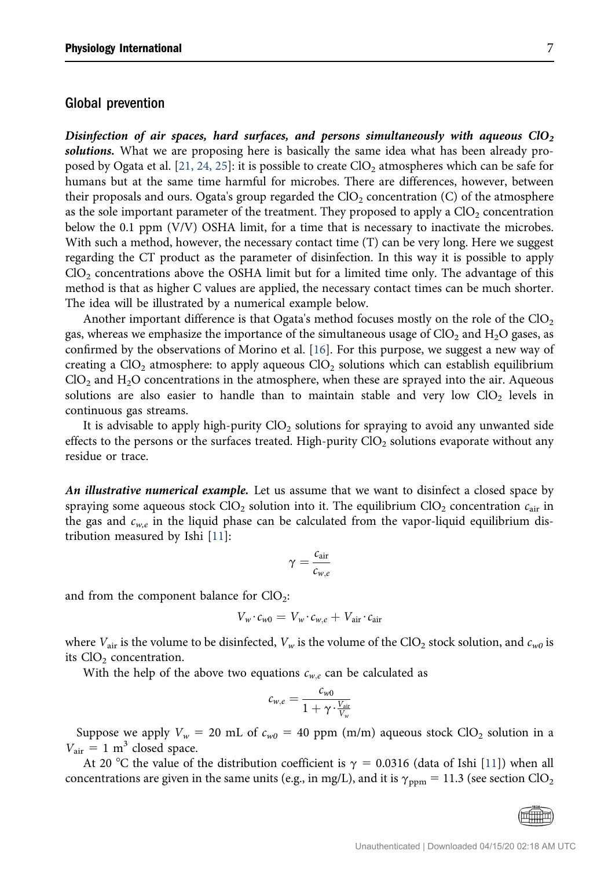#### Global prevention

Disinfection of air spaces, hard surfaces, and persons simultaneously with aqueous  $ClO<sub>2</sub>$ solutions. What we are proposing here is basically the same idea what has been already pro-posed by Ogata et al. [[21, 24, 25](#page-10-6)]: it is possible to create  $ClO<sub>2</sub>$  atmospheres which can be safe for humans but at the same time harmful for microbes. There are differences, however, between their proposals and ours. Ogata's group regarded the  $ClO<sub>2</sub>$  concentration (C) of the atmosphere as the sole important parameter of the treatment. They proposed to apply a  $ClO<sub>2</sub>$  concentration below the 0.1 ppm (V/V) OSHA limit, for a time that is necessary to inactivate the microbes. With such a method, however, the necessary contact time (T) can be very long. Here we suggest regarding the CT product as the parameter of disinfection. In this way it is possible to apply  $ClO<sub>2</sub>$  concentrations above the OSHA limit but for a limited time only. The advantage of this method is that as higher C values are applied, the necessary contact times can be much shorter. The idea will be illustrated by a numerical example below.

Another important difference is that Ogata's method focuses mostly on the role of the  $ClO<sub>2</sub>$ gas, whereas we emphasize the importance of the simultaneous usage of  $ClO<sub>2</sub>$  and  $H<sub>2</sub>O$  gases, as confirmed by the observations of Morino et al. [[16](#page-9-9)]. For this purpose, we suggest a new way of creating a  $ClO<sub>2</sub>$  atmosphere: to apply aqueous  $ClO<sub>2</sub>$  solutions which can establish equilibrium  $ClO<sub>2</sub>$  and  $H<sub>2</sub>O$  concentrations in the atmosphere, when these are sprayed into the air. Aqueous solutions are also easier to handle than to maintain stable and very low  $ClO<sub>2</sub>$  levels in continuous gas streams.

It is advisable to apply high-purity  $ClO<sub>2</sub>$  solutions for spraying to avoid any unwanted side effects to the persons or the surfaces treated. High-purity  $ClO<sub>2</sub>$  solutions evaporate without any residue or trace.

An illustrative numerical example. Let us assume that we want to disinfect a closed space by spraying some aqueous stock ClO<sub>2</sub> solution into it. The equilibrium ClO<sub>2</sub> concentration  $c_{air}$  in the gas and  $c_{w,e}$  in the liquid phase can be calculated from the vapor-liquid equilibrium distribution measured by Ishi [[11\]](#page-9-8):

$$
\gamma = \frac{c_{air}}{c_{w,e}}
$$

and from the component balance for  $ClO<sub>2</sub>$ :

$$
V_w \cdot c_{w0} = V_w \cdot c_{w,e} + V_{\text{air}} \cdot c_{\text{air}}
$$

where  $V_{air}$  is the volume to be disinfected,  $V_w$  is the volume of the ClO<sub>2</sub> stock solution, and  $c_{w0}$  is its  $ClO<sub>2</sub>$  concentration.

With the help of the above two equations  $c_{w,e}$  can be calculated as

$$
c_{w,e} = \frac{c_{w0}}{1 + \gamma \cdot \frac{V_{\text{air}}}{V_w}}
$$

Suppose we apply  $V_w = 20$  mL of  $c_{w0} = 40$  ppm (m/m) aqueous stock ClO<sub>2</sub> solution in a  $V_{\text{air}} = 1 \text{ m}^3$  closed space.

At 20 °C the value of the distribution coefficient is  $\gamma = 0.0316$  (data of Ishi [[11](#page-9-8)]) when all concentrations are given in the same units (e.g., in mg/L), and it is  $\gamma_{\rm ppm} = 11.3$  (see section ClO<sub>2</sub>)

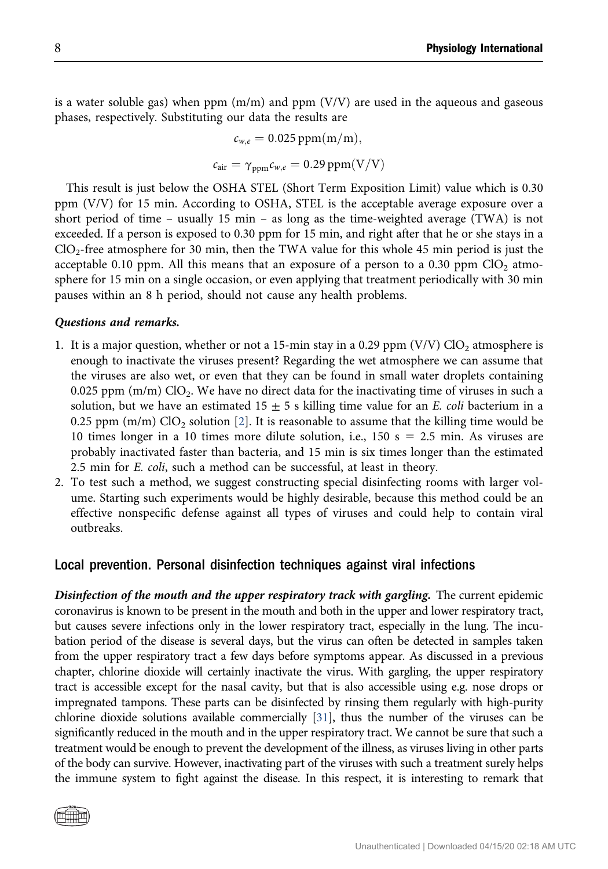is a water soluble gas) when ppm  $(m/m)$  and ppm  $(V/V)$  are used in the aqueous and gaseous phases, respectively. Substituting our data the results are

$$
c_{w,e} = 0.025 \text{ ppm}(m/m),
$$
  

$$
c_{air} = \gamma_{ppm} c_{w,e} = 0.29 \text{ ppm}(V/V)
$$

This result is just below the OSHA STEL (Short Term Exposition Limit) value which is 0.30 ppm (V/V) for 15 min. According to OSHA, STEL is the acceptable average exposure over a short period of time – usually 15 min – as long as the time-weighted average (TWA) is not exceeded. If a person is exposed to 0.30 ppm for 15 min, and right after that he or she stays in a  $ClO<sub>2</sub>$ -free atmosphere for 30 min, then the TWA value for this whole 45 min period is just the acceptable 0.10 ppm. All this means that an exposure of a person to a 0.30 ppm  $ClO<sub>2</sub>$  atmosphere for 15 min on a single occasion, or even applying that treatment periodically with 30 min pauses within an 8 h period, should not cause any health problems.

#### Questions and remarks.

- 1. It is a major question, whether or not a 15-min stay in a 0.29 ppm (V/V)  $ClO<sub>2</sub>$  atmosphere is enough to inactivate the viruses present? Regarding the wet atmosphere we can assume that the viruses are also wet, or even that they can be found in small water droplets containing 0.025 ppm  $(m/m)$  ClO<sub>2</sub>. We have no direct data for the inactivating time of viruses in such a solution, but we have an estimated  $15 \pm 5$  s killing time value for an *E. coli* bacterium in a 0.25 ppm (m/m)  $ClO<sub>2</sub>$  solution [[2\]](#page-9-11). It is reasonable to assume that the killing time would be 10 times longer in a 10 times more dilute solution, i.e., 150 s = 2.5 min. As viruses are probably inactivated faster than bacteria, and 15 min is six times longer than the estimated 2.5 min for E. coli, such a method can be successful, at least in theory.
- 2. To test such a method, we suggest constructing special disinfecting rooms with larger volume. Starting such experiments would be highly desirable, because this method could be an effective nonspecific defense against all types of viruses and could help to contain viral outbreaks.

#### Local prevention. Personal disinfection techniques against viral infections

Disinfection of the mouth and the upper respiratory track with gargling. The current epidemic coronavirus is known to be present in the mouth and both in the upper and lower respiratory tract, but causes severe infections only in the lower respiratory tract, especially in the lung. The incubation period of the disease is several days, but the virus can often be detected in samples taken from the upper respiratory tract a few days before symptoms appear. As discussed in a previous chapter, chlorine dioxide will certainly inactivate the virus. With gargling, the upper respiratory tract is accessible except for the nasal cavity, but that is also accessible using e.g. nose drops or impregnated tampons. These parts can be disinfected by rinsing them regularly with high-purity chlorine dioxide solutions available commercially [\[31](#page-10-9)], thus the number of the viruses can be significantly reduced in the mouth and in the upper respiratory tract. We cannot be sure that such a treatment would be enough to prevent the development of the illness, as viruses living in other parts of the body can survive. However, inactivating part of the viruses with such a treatment surely helps the immune system to fight against the disease. In this respect, it is interesting to remark that

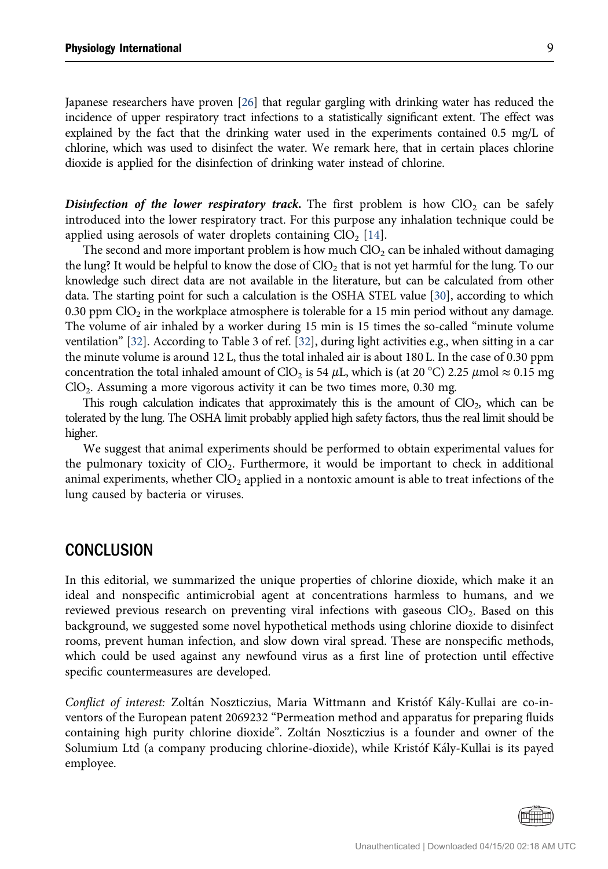Japanese researchers have proven [\[26\]](#page-10-10) that regular gargling with drinking water has reduced the incidence of upper respiratory tract infections to a statistically significant extent. The effect was explained by the fact that the drinking water used in the experiments contained 0.5 mg/L of chlorine, which was used to disinfect the water. We remark here, that in certain places chlorine dioxide is applied for the disinfection of drinking water instead of chlorine.

**Disinfection of the lower respiratory track.** The first problem is how  $ClO<sub>2</sub>$  can be safely introduced into the lower respiratory tract. For this purpose any inhalation technique could be applied using aerosols of water droplets containing  $ClO<sub>2</sub>$  [\[14\]](#page-9-18).

The second and more important problem is how much  $ClO<sub>2</sub>$  can be inhaled without damaging the lung? It would be helpful to know the dose of  $ClO<sub>2</sub>$  that is not yet harmful for the lung. To our knowledge such direct data are not available in the literature, but can be calculated from other data. The starting point for such a calculation is the OSHA STEL value [\[30](#page-10-5)], according to which 0.30 ppm  $ClO<sub>2</sub>$  in the workplace atmosphere is tolerable for a 15 min period without any damage. The volume of air inhaled by a worker during 15 min is 15 times the so-called "minute volume ventilation" [\[32\]](#page-10-11). According to Table 3 of ref. [[32](#page-10-11)], during light activities e.g., when sitting in a car the minute volume is around 12 L, thus the total inhaled air is about 180 L. In the case of 0.30 ppm concentration the total inhaled amount of ClO<sub>2</sub> is 54 µL, which is (at 20 °C) 2.25 µmol  $\approx$  0.15 mg  $ClO<sub>2</sub>$ . Assuming a more vigorous activity it can be two times more, 0.30 mg.

This rough calculation indicates that approximately this is the amount of  $ClO<sub>2</sub>$ , which can be tolerated by the lung. The OSHA limit probably applied high safety factors, thus the real limit should be higher.

We suggest that animal experiments should be performed to obtain experimental values for the pulmonary toxicity of  $ClO<sub>2</sub>$ . Furthermore, it would be important to check in additional animal experiments, whether  $ClO<sub>2</sub>$  applied in a nontoxic amount is able to treat infections of the lung caused by bacteria or viruses.

# **CONCLUSION**

In this editorial, we summarized the unique properties of chlorine dioxide, which make it an ideal and nonspecific antimicrobial agent at concentrations harmless to humans, and we reviewed previous research on preventing viral infections with gaseous  $ClO<sub>2</sub>$ . Based on this background, we suggested some novel hypothetical methods using chlorine dioxide to disinfect rooms, prevent human infection, and slow down viral spread. These are nonspecific methods, which could be used against any newfound virus as a first line of protection until effective specific countermeasures are developed.

Conflict of interest: Zoltán Noszticzius, Maria Wittmann and Kristóf Kály-Kullai are co-inventors of the European patent 2069232 "Permeation method and apparatus for preparing fluids containing high purity chlorine dioxide". Zoltan Noszticzius is a founder and owner of the Solumium Ltd (a company producing chlorine-dioxide), while Kristof Kaly-Kullai is its payed employee.

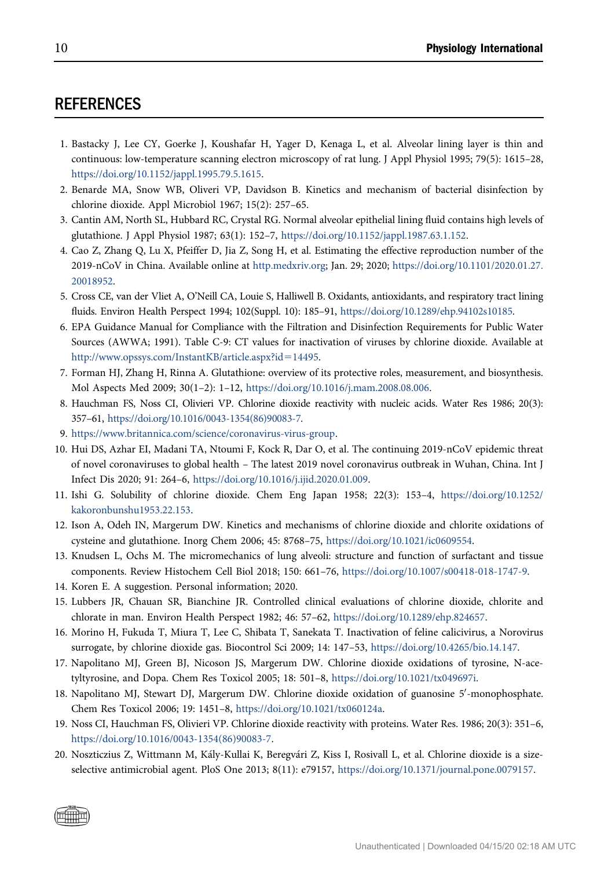# **REFERENCES**

- <span id="page-9-14"></span>1. Bastacky J, Lee CY, Goerke J, Koushafar H, Yager D, Kenaga L, et al. Alveolar lining layer is thin and continuous: low-temperature scanning electron microscopy of rat lung. J Appl Physiol 1995; 79(5): 1615–28, [https://doi.org/10.1152/jappl.1995.79.5.1615.](https://doi.org/10.1152/jappl.1995.79.5.1615)
- <span id="page-9-11"></span>2. Benarde MA, Snow WB, Oliveri VP, Davidson B. Kinetics and mechanism of bacterial disinfection by chlorine dioxide. Appl Microbiol 1967; 15(2): 257–65.
- <span id="page-9-15"></span>3. Cantin AM, North SL, Hubbard RC, Crystal RG. Normal alveolar epithelial lining fluid contains high levels of glutathione. J Appl Physiol 1987; 63(1): 152–7, <https://doi.org/10.1152/jappl.1987.63.1.152>.
- <span id="page-9-1"></span>4. Cao Z, Zhang Q, Lu X, Pfeiffer D, Jia Z, Song H, et al. Estimating the effective reproduction number of the 2019-nCoV in China. Available online at [http.medxriv.org;](http://medxriv.org) Jan. 29; 2020; [https://doi.org/10.1101/2020.01.27.](https://doi.org/10.1101/2020.01.27.20018952) [20018952](https://doi.org/10.1101/2020.01.27.20018952).
- <span id="page-9-16"></span>5. Cross CE, van der Vliet A, O'Neill CA, Louie S, Halliwell B. Oxidants, antioxidants, and respiratory tract lining fluids. Environ Health Perspect 1994; 102(Suppl. 10): 185–91, <https://doi.org/10.1289/ehp.94102s10185>.
- <span id="page-9-2"></span>6. EPA Guidance Manual for Compliance with the Filtration and Disinfection Requirements for Public Water Sources (AWWA; 1991). Table C-9: CT values for inactivation of viruses by chlorine dioxide. Available at [http://www.opssys.com/InstantKB/article.aspx?id](http://www.opssys.com/InstantKB/article.aspx?id=14495)=[14495](http://www.opssys.com/InstantKB/article.aspx?id=14495).
- <span id="page-9-12"></span>7. Forman HJ, Zhang H, Rinna A. Glutathione: overview of its protective roles, measurement, and biosynthesis. Mol Aspects Med 2009; 30(1–2): 1–12, <https://doi.org/10.1016/j.mam.2008.08.006>.
- <span id="page-9-4"></span>8. Hauchman FS, Noss CI, Olivieri VP. Chlorine dioxide reactivity with nucleic acids. Water Res 1986; 20(3): 357–61, [https://doi.org/10.1016/0043-1354\(86\)90083-7.](https://doi.org/10.1016/0043-1354(86)90083-7)
- <span id="page-9-17"></span>9. [https://www.britannica.com/science/coronavirus-virus-group.](https://www.britannica.com/science/coronavirus-virus-group)
- <span id="page-9-0"></span>10. Hui DS, Azhar EI, Madani TA, Ntoumi F, Kock R, Dar O, et al. The continuing 2019-nCoV epidemic threat of novel coronaviruses to global health – The latest 2019 novel coronavirus outbreak in Wuhan, China. Int J Infect Dis 2020; 91: 264–6, <https://doi.org/10.1016/j.ijid.2020.01.009>.
- <span id="page-9-8"></span>11. Ishi G. Solubility of chlorine dioxide. Chem Eng Japan 1958; 22(3): 153–4, [https://doi.org/10.1252/](https://doi.org/10.1252/kakoronbunshu1953.22.153) [kakoronbunshu1953.22.153](https://doi.org/10.1252/kakoronbunshu1953.22.153).
- <span id="page-9-5"></span>12. Ison A, Odeh IN, Margerum DW. Kinetics and mechanisms of chlorine dioxide and chlorite oxidations of cysteine and glutathione. Inorg Chem 2006; 45: 8768–75, [https://doi.org/10.1021/ic0609554.](https://doi.org/10.1021/ic0609554)
- 13. Knudsen L, Ochs M. The micromechanics of lung alveoli: structure and function of surfactant and tissue components. Review Histochem Cell Biol 2018; 150: 661–76, [https://doi.org/10.1007/s00418-018-1747-9.](https://doi.org/10.1007/s00418-018-1747-9)
- <span id="page-9-18"></span><span id="page-9-13"></span>14. Koren E. A suggestion. Personal information; 2020.
- 15. Lubbers JR, Chauan SR, Bianchine JR. Controlled clinical evaluations of chlorine dioxide, chlorite and chlorate in man. Environ Health Perspect 1982; 46: 57–62, [https://doi.org/10.1289/ehp.824657.](https://doi.org/10.1289/ehp.824657)
- <span id="page-9-9"></span>16. Morino H, Fukuda T, Miura T, Lee C, Shibata T, Sanekata T. Inactivation of feline calicivirus, a Norovirus surrogate, by chlorine dioxide gas. Biocontrol Sci 2009; 14: 147–53, <https://doi.org/10.4265/bio.14.147>.
- <span id="page-9-6"></span>17. Napolitano MJ, Green BJ, Nicoson JS, Margerum DW. Chlorine dioxide oxidations of tyrosine, N-acetyltyrosine, and Dopa. Chem Res Toxicol 2005; 18: 501–8, [https://doi.org/10.1021/tx049697i.](https://doi.org/10.1021/tx049697i)
- <span id="page-9-7"></span>18. Napolitano MJ, Stewart DJ, Margerum DW. Chlorine dioxide oxidation of guanosine 5'-monophosphate. Chem Res Toxicol 2006; 19: 1451–8, <https://doi.org/10.1021/tx060124a>.
- <span id="page-9-3"></span>19. Noss CI, Hauchman FS, Olivieri VP. Chlorine dioxide reactivity with proteins. Water Res. 1986; 20(3): 351–6, [https://doi.org/10.1016/0043-1354\(86\)90083-7.](https://doi.org/10.1016/0043-1354(86)90083-7)
- <span id="page-9-10"></span>20. Noszticzius Z, Wittmann M, Kaly-Kullai K, Beregvari Z, Kiss I, Rosivall L, et al. Chlorine dioxide is a sizeselective antimicrobial agent. PloS One 2013; 8(11): e79157, [https://doi.org/10.1371/journal.pone.0079157.](https://doi.org/10.1371/journal.pone.0079157)